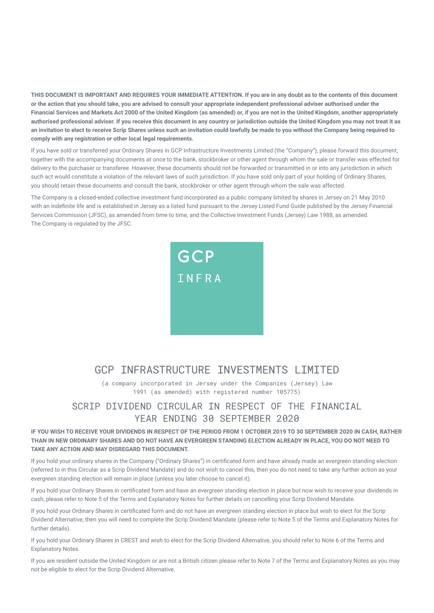**THIS DOCUMENT IS IMPORTANT AND REQUIRES YOUR IMMEDIATE ATTENTION. If you are in any doubt as to the contents of this document or the action that you should take, you are advised to consult your appropriate independent professional adviser authorised under the Financial Services and Markets Act 2000 of the United Kingdom (as amended) or, if you are not in the United Kingdom, another appropriately authorised professional adviser. If you receive this document in any country or jurisdiction outside the United Kingdom you may not treat it as an invitation to elect to receive Scrip Shares unless such an invitation could lawfully be made to you without the Company being required to comply with any registration or other local legal requirements.** 

If you have sold or transferred your Ordinary Shares in GCP Infrastructure Investments Limited (the "Company"), please forward this document, together with the accompanying documents at once to the bank, stockbroker or other agent through whom the sale or transfer was effected for delivery to the purchaser or transferee. However, these documents should not be forwarded or transmitted in or into any jurisdiction in which such act would constitute a violation of the relevant laws of such jurisdiction. If you have sold only part of your holding of Ordinary Shares, you should retain these documents and consult the bank, stockbroker or other agent through whom the sale was affected.

The Company is a closed-ended collective investment fund incorporated as a public company limited by shares in Jersey on 21 May 2010 with an indefinite life and is established in Jersey as a listed fund pursuant to the Jersey Listed Fund Guide published by the Jersey Financial Services Commission (JFSC), as amended from time to time, and the Collective Investment Funds (Jersey) Law 1988, as amended. The Company is regulated by the JFSC.



# GCP INFRASTRUCTURE INVESTMENTS LIMITED

(a company incorporated in Jersey under the Companies (Jersey) Law 1991 (as amended) with registered number 105775)

# SCRIP DIVIDEND CIRCULAR IN RESPECT OF THE FINANCIAL YEAR ENDING 30 SEPTEMBER 2020

# **IF YOU WISH TO RECEIVE YOUR DIVIDENDS IN RESPECT OF THE PERIOD FROM 1 OCTOBER 2019 TO 30 SEPTEMBER 2020 IN CASH, RATHER THAN IN NEW ORDINARY SHARES AND DO NOT HAVE AN EVERGREEN STANDING ELECTION ALREADY IN PLACE, YOU DO NOT NEED TO TAKE ANY ACTION AND MAY DISREGARD THIS DOCUMENT.**

If you hold your ordinary shares in the Company ("Ordinary Shares") in certificated form and have already made an evergreen standing election (referred to in this Circular as a Scrip Dividend Mandate) and do not wish to cancel this, then you do not need to take any further action as your evergreen standing election will remain in place (unless you later choose to cancel it).

If you hold your Ordinary Shares in certificated form and have an evergreen standing election in place but now wish to receive your dividends in cash, please refer to Note 5 of the Terms and Explanatory Notes for further details on cancelling your Scrip Dividend Mandate.

If you hold your Ordinary Shares in certificated form and do not have an evergreen standing election in place but wish to elect for the Scrip Dividend Alternative, then you will need to complete the Scrip Dividend Mandate (please refer to Note 5 of the Terms and Explanatory Notes for further details).

If you hold your Ordinary Shares in CREST and wish to elect for the Scrip Dividend Alternative, you should refer to Note 6 of the Terms and Explanatory Notes.

If you are resident outside the United Kingdom or are not a British citizen please refer to Note 7 of the Terms and Explanatory Notes as you may not be eligible to elect for the Scrip Dividend Alternative.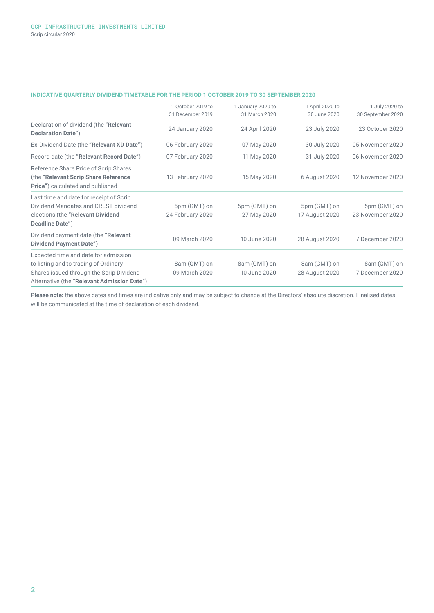|                                                                                                                                         | 1 October 2019 to<br>31 December 2019           | 1 January 2020 to<br>31 March 2020 | 1 April 2020 to<br>30 June 2020 | 1 July 2020 to<br>30 September 2020 |  |
|-----------------------------------------------------------------------------------------------------------------------------------------|-------------------------------------------------|------------------------------------|---------------------------------|-------------------------------------|--|
| Declaration of dividend (the "Relevant<br><b>Declaration Date")</b>                                                                     | 24 January 2020<br>24 April 2020                |                                    | 23 July 2020                    | 23 October 2020                     |  |
| Ex-Dividend Date (the "Relevant XD Date")                                                                                               | 30 July 2020<br>06 February 2020<br>07 May 2020 |                                    | 05 November 2020                |                                     |  |
| Record date (the "Relevant Record Date")                                                                                                | 07 February 2020                                | 11 May 2020                        | 31 July 2020                    | 06 November 2020                    |  |
| Reference Share Price of Scrip Shares<br>(the "Relevant Scrip Share Reference<br><b>Price")</b> calculated and published                | 13 February 2020                                | 15 May 2020<br>6 August 2020       |                                 | 12 November 2020                    |  |
| Last time and date for receipt of Scrip<br>Dividend Mandates and CREST dividend<br>elections (the "Relevant Dividend<br>Deadline Date") | 5pm (GMT) on<br>24 February 2020                | 5pm (GMT) on<br>27 May 2020        | 5pm (GMT) on<br>17 August 2020  | 5pm (GMT) on<br>23 November 2020    |  |
| Dividend payment date (the "Relevant<br>Dividend Payment Date")                                                                         | 09 March 2020                                   | 10 June 2020                       | 28 August 2020                  | 7 December 2020                     |  |
| Expected time and date for admission                                                                                                    |                                                 |                                    |                                 |                                     |  |
| to listing and to trading of Ordinary<br>Shares issued through the Scrip Dividend<br>Alternative (the "Relevant Admission Date")        | 8am (GMT) on<br>09 March 2020                   | 8am (GMT) on<br>10 June 2020       | 8am (GMT) on<br>28 August 2020  | 8am (GMT) on<br>7 December 2020     |  |

# **INDICATIVE QUARTERLY DIVIDEND TIMETABLE FOR THE PERIOD 1 OCTOBER 2019 TO 30 SEPTEMBER 2020**

**Please note:** the above dates and times are indicative only and may be subject to change at the Directors' absolute discretion. Finalised dates will be communicated at the time of declaration of each dividend.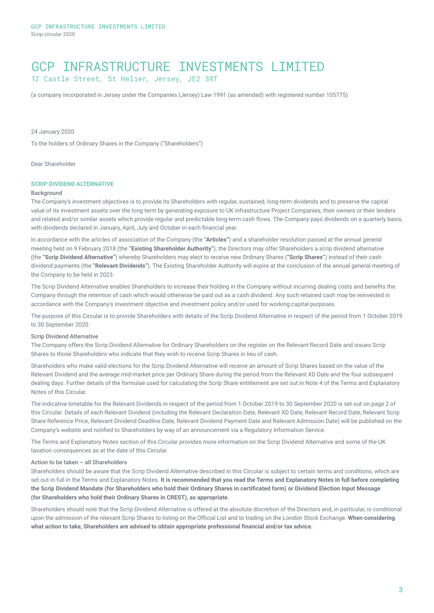# GCP INFRASTRUCTURE INVESTMENTS LIMITED 12 Castle Street, St Helier, Jersey, JE2 3RT

(a company incorporated in Jersey under the Companies (Jersey) Law 1991 (as amended) with registered number 105775)

24 January 2020

To the holders of Ordinary Shares in the Company ("Shareholders")

Dear Shareholder

### **SCRIP DIVIDEND ALTERNATIVE**

### Background

The Company's investment objectives is to provide its Shareholders with regular, sustained, long-term dividends and to preserve the capital value of its investment assets over the long term by generating exposure to UK infrastructure Project Companies, their owners or their lenders and related and/or similar assets which provide regular and predictable long-term cash flows. The Company pays dividends on a quarterly basis, with dividends declared in January, April, July and October in each financial year.

In accordance with the articles of association of the Company (the **"Articles"**) and a shareholder resolution passed at the annual general meeting held on 9 February 2018 (the **"Existing Shareholder Authority"**), the Directors may offer Shareholders a scrip dividend alternative (the **"Scrip Dividend Alternative"**) whereby Shareholders may elect to receive new Ordinary Shares (**"Scrip Shares"**) instead of their cash dividend payments (the **"Relevant Dividends"**). The Existing Shareholder Authority will expire at the conclusion of the annual general meeting of the Company to be held in 2023.

The Scrip Dividend Alternative enables Shareholders to increase their holding in the Company without incurring dealing costs and benefits the Company through the retention of cash which would otherwise be paid out as a cash dividend. Any such retained cash may be reinvested in accordance with the Company's investment objective and investment policy and/or used for working capital purposes.

The purpose of this Circular is to provide Shareholders with details of the Scrip Dividend Alternative in respect of the period from 1 October 2019 to 30 September 2020.

### Scrip Dividend Alternative

The Company offers the Scrip Dividend Alternative for Ordinary Shareholders on the register on the Relevant Record Date and issues Scrip Shares to those Shareholders who indicate that they wish to receive Scrip Shares in lieu of cash.

Shareholders who make valid elections for the Scrip Dividend Alternative will receive an amount of Scrip Shares based on the value of the Relevant Dividend and the average mid-market price per Ordinary Share during the period from the Relevant XD Date and the four subsequent dealing days. Further details of the formulae used for calculating the Scrip Share entitlement are set out in Note 4 of the Terms and Explanatory Notes of this Circular.

The indicative timetable for the Relevant Dividends in respect of the period from 1 October 2019 to 30 September 2020 is set out on page 2 of this Circular. Details of each Relevant Dividend (including the Relevant Declaration Date, Relevant XD Date, Relevant Record Date, Relevant Scrip Share Reference Price, Relevant Dividend Deadline Date, Relevant Dividend Payment Date and Relevant Admission Date) will be published on the Company's website and notified to Shareholders by way of an announcement via a Regulatory Information Service.

The Terms and Explanatory Notes section of this Circular provides more information on the Scrip Dividend Alternative and some of the UK taxation consequences as at the date of this Circular.

## Action to be taken – all Shareholders

Shareholders should be aware that the Scrip Dividend Alternative described in this Circular is subject to certain terms and conditions, which are set out in full in the Terms and Explanatory Notes. **It is recommended that you read the Terms and Explanatory Notes in full before completing the Scrip Dividend Mandate (for Shareholders who hold their Ordinary Shares in certificated form) or Dividend Election Input Message (for Shareholders who hold their Ordinary Shares in CREST), as appropriate.**

Shareholders should note that the Scrip Dividend Alternative is offered at the absolute discretion of the Directors and, in particular, is conditional upon the admission of the relevant Scrip Shares to listing on the Official List and to trading on the London Stock Exchange. **When considering what action to take, Shareholders are advised to obtain appropriate professional financial and/or tax advice.**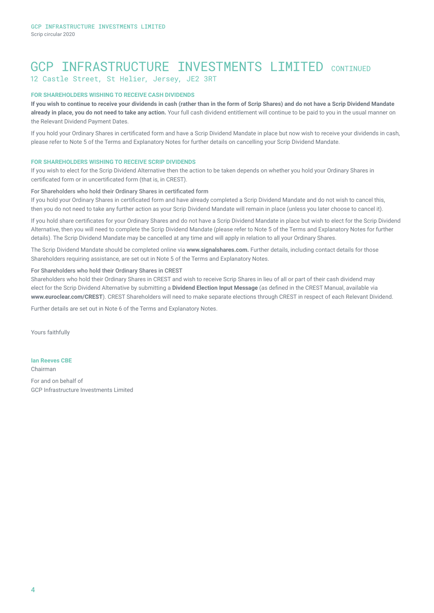# GCP INFRASTRUCTURE INVESTMENTS LIMITED CONTINUED 12 Castle Street, St Helier, Jersey, JE2 3RT

## **FOR SHAREHOLDERS WISHING TO RECEIVE CASH DIVIDENDS**

**If you wish to continue to receive your dividends in cash (rather than in the form of Scrip Shares) and do not have a Scrip Dividend Mandate already in place, you do not need to take any action.** Your full cash dividend entitlement will continue to be paid to you in the usual manner on the Relevant Dividend Payment Dates.

If you hold your Ordinary Shares in certificated form and have a Scrip Dividend Mandate in place but now wish to receive your dividends in cash, please refer to Note 5 of the Terms and Explanatory Notes for further details on cancelling your Scrip Dividend Mandate.

## **FOR SHAREHOLDERS WISHING TO RECEIVE SCRIP DIVIDENDS**

If you wish to elect for the Scrip Dividend Alternative then the action to be taken depends on whether you hold your Ordinary Shares in certificated form or in uncertificated form (that is, in CREST).

# For Shareholders who hold their Ordinary Shares in certificated form

If you hold your Ordinary Shares in certificated form and have already completed a Scrip Dividend Mandate and do not wish to cancel this, then you do not need to take any further action as your Scrip Dividend Mandate will remain in place (unless you later choose to cancel it).

If you hold share certificates for your Ordinary Shares and do not have a Scrip Dividend Mandate in place but wish to elect for the Scrip Dividend Alternative, then you will need to complete the Scrip Dividend Mandate (please refer to Note 5 of the Terms and Explanatory Notes for further details). The Scrip Dividend Mandate may be cancelled at any time and will apply in relation to all your Ordinary Shares.

The Scrip Dividend Mandate should be completed online via **www.signalshares.com.** Further details, including contact details for those Shareholders requiring assistance, are set out in Note 5 of the Terms and Explanatory Notes.

## For Shareholders who hold their Ordinary Shares in CREST

Shareholders who hold their Ordinary Shares in CREST and wish to receive Scrip Shares in lieu of all or part of their cash dividend may elect for the Scrip Dividend Alternative by submitting a **Dividend Election Input Message** (as defined in the CREST Manual, available via **www.euroclear.com/CREST**). CREST Shareholders will need to make separate elections through CREST in respect of each Relevant Dividend.

Further details are set out in Note 6 of the Terms and Explanatory Notes.

Yours faithfully

**Ian Reeves CBE**

Chairman

For and on behalf of GCP Infrastructure Investments Limited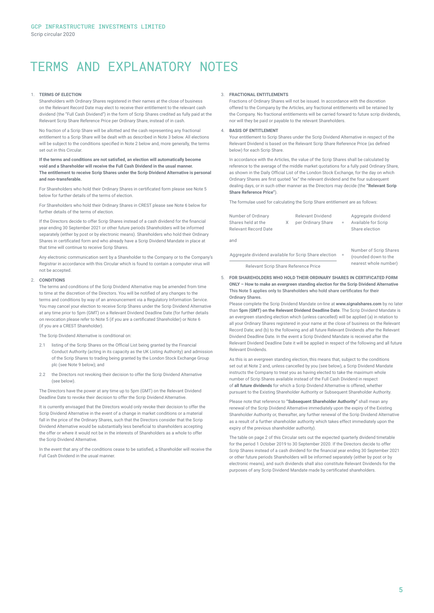# TERMS AND EXPLANATORY NOTES

### 1. **TERMS OF ELECTION**

Shareholders with Ordinary Shares registered in their names at the close of business on the Relevant Record Date may elect to receive their entitlement to the relevant cash dividend (the "Full Cash Dividend") in the form of Scrip Shares credited as fully paid at the Relevant Scrip Share Reference Price per Ordinary Share, instead of in cash.

No fraction of a Scrip Share will be allotted and the cash representing any fractional entitlement to a Scrip Share will be dealt with as described in Note 3 below. All elections will be subject to the conditions specified in Note 2 below and, more generally, the terms set out in this Circular.

**If the terms and conditions are not satisfied, an election will automatically become void and a Shareholder will receive the Full Cash Dividend in the usual manner. The entitlement to receive Scrip Shares under the Scrip Dividend Alternative is personal and non‑transferable.**

For Shareholders who hold their Ordinary Shares in certificated form please see Note 5 below for further details of the terms of election.

For Shareholders who hold their Ordinary Shares in CREST please see Note 6 below for further details of the terms of election.

If the Directors decide to offer Scrip Shares instead of a cash dividend for the financial year ending 30 September 2021 or other future periods Shareholders will be informed separately (either by post or by electronic means). Shareholders who hold their Ordinary Shares in certificated form and who already have a Scrip Dividend Mandate in place at that time will continue to receive Scrip Shares.

Any electronic communication sent by a Shareholder to the Company or to the Company's Registrar in accordance with this Circular which is found to contain a computer virus will not be accepted.

### 2. **CONDITIONS**

The terms and conditions of the Scrip Dividend Alternative may be amended from time to time at the discretion of the Directors. You will be notified of any changes to the terms and conditions by way of an announcement via a Regulatory Information Service. You may cancel your election to receive Scrip Shares under the Scrip Dividend Alternative at any time prior to 5pm (GMT) on a Relevant Dividend Deadline Date (for further details on revocation please refer to Note 5 (if you are a certificated Shareholder) or Note 6 (if you are a CREST Shareholder).

The Scrip Dividend Alternative is conditional on:

- 2.1 listing of the Scrip Shares on the Official List being granted by the Financial Conduct Authority (acting in its capacity as the UK Listing Authority) and admission of the Scrip Shares to trading being granted by the London Stock Exchange Group plc (see Note 9 below); and
- 2.2 the Directors not revoking their decision to offer the Scrip Dividend Alternative (see below).

The Directors have the power at any time up to 5pm (GMT) on the Relevant Dividend Deadline Date to revoke their decision to offer the Scrip Dividend Alternative.

It is currently envisaged that the Directors would only revoke their decision to offer the Scrip Dividend Alternative in the event of a change in market conditions or a material fall in the price of the Ordinary Shares, such that the Directors consider that the Scrip Dividend Alternative would be substantially less beneficial to shareholders accepting the offer or where it would not be in the interests of Shareholders as a whole to offer the Scrip Dividend Alternative

In the event that any of the conditions cease to be satisfied, a Shareholder will receive the Full Cash Dividend in the usual manner.

### 3. **FRACTIONAL ENTITLEMENTS**

Fractions of Ordinary Shares will not be issued. In accordance with the discretion offered to the Company by the Articles, any fractional entitlements will be retained by the Company. No fractional entitlements will be carried forward to future scrip dividends, nor will they be paid or payable to the relevant Shareholders.

### 4. **BASIS OF ENTITLEMENT**

Your entitlement to Scrip Shares under the Scrip Dividend Alternative in respect of the Relevant Dividend is based on the Relevant Scrip Share Reference Price (as defined below) for each Scrip Share.

In accordance with the Articles, the value of the Scrip Shares shall be calculated by reference to the average of the middle market quotations for a fully paid Ordinary Share, as shown in the Daily Official List of the London Stock Exchange, for the day on which Ordinary Shares are first quoted "ex" the relevant dividend and the four subsequent dealing days, or in such other manner as the Directors may decide (the **"Relevant Scrip Share Reference Price"**).

The formulae used for calculating the Scrip Share entitlement are as follows:

| Number of Ordinary          |   | <b>Relevant Dividend</b> |                           | Aggregate dividend  |
|-----------------------------|---|--------------------------|---------------------------|---------------------|
| Shares held at the          | X | per Ordinary Share       | $\mathbf{r} = \mathbf{r}$ | Available for Scrip |
| <b>Relevant Record Date</b> |   |                          |                           | Share election      |
| and                         |   |                          |                           |                     |

Aggregate dividend available for Scrip Share election = Number of Scrip Shares Relevant Scrip Share Reference Price nearest whole number)

(rounded down to the

5. **FOR SHAREHOLDERS WHO HOLD THEIR ORDINARY SHARES IN CERTIFICATED FORM ONLY – How to make an evergreen standing election for the Scrip Dividend Alternative** This Note 5 applies only to Shareholders who hold share certificates for their Ordinary Shares.

Please complete the Scrip Dividend Mandate on-line at **www.signalshares.com** by no later than **5pm (GMT) on the Relevant Dividend Deadline Date**. The Scrip Dividend Mandate is an evergreen standing election which (unless cancelled) will be applied (a) in relation to all your Ordinary Shares registered in your name at the close of business on the Relevant Record Date; and (b) to the following and all future Relevant Dividends after the Relevant Dividend Deadline Date. In the event a Scrip Dividend Mandate is received after the Relevant Dividend Deadline Date it will be applied in respect of the following and all future Relevant Dividends.

As this is an evergreen standing election, this means that, subject to the conditions set out at Note 2 and, unless cancelled by you (see below), a Scrip Dividend Mandate instructs the Company to treat you as having elected to take the maximum whole number of Scrip Shares available instead of the Full Cash Dividend in respect of **all future dividends** for which a Scrip Dividend Alternative is offered, whether pursuant to the Existing Shareholder Authority or Subsequent Shareholder Authority.

Please note that reference to **"Subsequent Shareholder Authority"** shall mean any renewal of the Scrip Dividend Alternative immediately upon the expiry of the Existing Shareholder Authority or, thereafter, any further renewal of the Scrip Dividend Alternative as a result of a further shareholder authority which takes effect immediately upon the expiry of the previous shareholder authority).

The table on page 2 of this Circular sets out the expected quarterly dividend timetable for the period 1 October 2019 to 30 September 2020. If the Directors decide to offer Scrip Shares instead of a cash dividend for the financial year ending 30 September 2021 or other future periods Shareholders will be informed separately (either by post or by electronic means), and such dividends shall also constitute Relevant Dividends for the purposes of any Scrip Dividend Mandate made by certificated shareholders.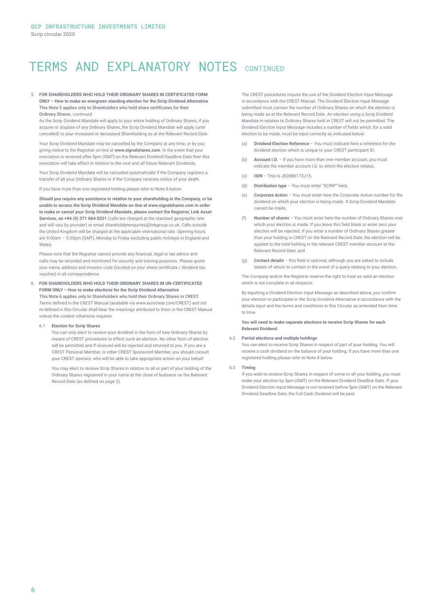# TERMS AND EXPLANATORY NOTES CONTINUED

5. **FOR SHAREHOLDERS WHO HOLD THEIR ORDINARY SHARES IN CERTIFICATED FORM ONLY – How to make an evergreen standing election for the Scrip Dividend Alternative** This Note 5 applies only to Shareholders who hold share certificates for their Ordinary Shares. continued

As the Scrip Dividend Mandate will apply to your entire holding of Ordinary Shares, if you acquire or dispose of any Ordinary Shares, the Scrip Dividend Mandate will apply (until cancelled) to your increased or decreased Shareholding as at the Relevant Record Date.

Your Scrip Dividend Mandate may be cancelled by the Company at any time, or by you giving notice to the Registrar on-line at **www.signalshares.com**. In the event that your revocation is received after 5pm (GMT) on the Relevant Dividend Deadline Date then this revocation will take effect in relation to the next and all future Relevant Dividends.

Your Scrip Dividend Mandate will be cancelled automatically if the Company registers a transfer of all your Ordinary Shares or if the Company receives notice of your death.

If you have more than one registered holding please refer to Note 8 below.

**Should you require any assistance in relation to your shareholding in the Company, or be unable to access the Scrip Dividend Mandate on‑line at www.signalshares.com in order to make or cancel your Scrip Dividend Mandate, please contact the Registrar, Link Asset Services, on +44 (0) 371 664 0321** (calls are charged at the standard geographic rate and will vary by provider) or email shareholderenquiries@linkgroup.co.uk. Calls outside the United Kingdom will be charged at the applicable international rate. Opening hours are 9:00am – 5:30pm (GMT), Monday to Friday excluding public holidays in England and Wales.

Please note that the Registrar cannot provide any financial, legal or tax advice and calls may be recorded and monitored for security and training purposes. Please quote your name, address and investor code (located on your share certificate / dividend tax voucher) in all correspondence.

6. **FOR SHAREHOLDERS WHO HOLD THEIR ORDINARY SHARES IN UN-CERTIFICATED FORM ONLY – How to make elections for the Scrip Dividend Alternative** This Note 6 applies only to Shareholders who hold their Ordinary Shares in CREST. Terms defined in the CREST Manual (available via www.euroclear.com/CREST) and not re-defined in this Circular shall bear the meanings attributed to them in the CREST Manual unless the context otherwise requires.

#### 6.1 **Election for Scrip Shares**

You can only elect to receive your dividend in the form of new Ordinary Shares by means of CREST procedures to effect such an election. No other form of election will be permitted and if received will be rejected and returned to you. If you are a CREST Personal Member, or other CREST Sponsored Member, you should consult your CREST sponsor, who will be able to take appropriate action on your behalf.

You may elect to receive Scrip Shares in relation to all or part of your holding of the Ordinary Shares registered in your name at the close of business on the Relevant Record Date (as defined on page 2).

The CREST procedures require the use of the Dividend Election Input Message in accordance with the CREST Manual. The Dividend Election Input Message submitted must contain the number of Ordinary Shares on which the election is being made as at the Relevant Record Date. An election using a Scrip Dividend Mandate in relation to Ordinary Shares held in CREST will not be permitted. The Dividend Election Input Message includes a number of fields which, for a valid election to be made, must be input correctly as indicated below:

- (a) **Dividend Election Reference** You must indicate here a reference for the dividend election which is unique to your CREST participant ID;
- (b) **Account I.D.** If you have more than one member account, you must indicate the member account LD, to which the election relates;
- $(c)$  **ISIN** This is JE00B6173J15;
- (d) **Distribution type** You must enter "SCRIP" here;
- (e) **Corporate Action** You must enter here the Corporate Action number for the dividend on which your election is being made. A Scrip Dividend Mandate cannot be made;
- (f) **Number of shares** You must enter here the number of Ordinary Shares over which your election is made. If you leave this field blank or enter zero your election will be rejected. If you enter a number of Ordinary Shares greater than your holding in CREST on the Relevant Record Date, the election will be applied to the total holding in the relevant CREST member account at the Relevant Record Date; and
- (g) **Contact details**  this field is optional, although you are asked to include details of whom to contact in the event of a query relating to your election.

The Company and/or the Registrar reserve the right to treat as valid an election which is not complete in all respects.

By inputting a Dividend Election Input Message as described above, you confirm your election to participate in the Scrip Dividend Alternative in accordance with the details input and the terms and conditions in this Circular as amended from time to time.

**You will need to make separate elections to receive Scrip Shares for each Relevant Dividend.**

### 6.2 **Partial elections and multiple holdings**

You can elect to receive Scrip Shares in respect of part of your holding. You will receive a cash dividend on the balance of your holding. If you have more than one registered holding please refer to Note 8 below.

#### 6.3 **Timing**

If you wish to receive Scrip Shares in respect of some or all your holding, you must make your election by 5pm (GMT) on the Relevant Dividend Deadline Date. If your Dividend Election Input Message is not received before 5pm (GMT) on the Relevant Dividend Deadline Date, the Full Cash Dividend will be paid.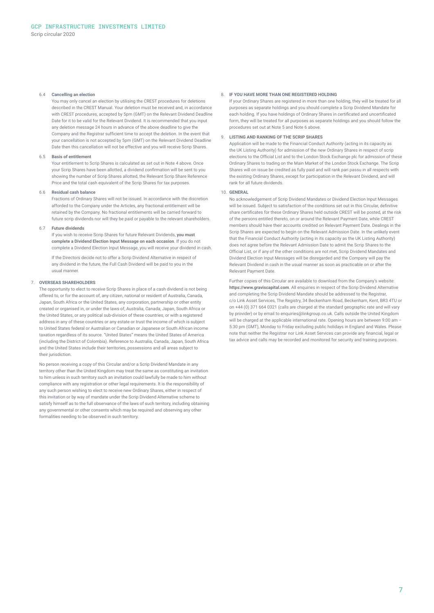### 6.4 **Cancelling an election**

You may only cancel an election by utilising the CREST procedures for deletions described in the CREST Manual. Your deletion must be received and, in accordance with CREST procedures, accepted by 5pm (GMT) on the Relevant Dividend Deadline Date for it to be valid for the Relevant Dividend. It is recommended that you input any deletion message 24 hours in advance of the above deadline to give the Company and the Registrar sufficient time to accept the deletion. In the event that your cancellation is not accepted by 5pm (GMT) on the Relevant Dividend Deadline Date then this cancellation will not be effective and you will receive Scrip Shares.

### 6.5 **Basis of entitlement**

Your entitlement to Scrip Shares is calculated as set out in Note 4 above. Once your Scrip Shares have been allotted, a dividend confirmation will be sent to you showing the number of Scrip Shares allotted, the Relevant Scrip Share Reference Price and the total cash equivalent of the Scrip Shares for tax purposes.

#### 6.6 **Residual cash balance**

Fractions of Ordinary Shares will not be issued. In accordance with the discretion afforded to the Company under the Articles, any fractional entitlement will be retained by the Company. No fractional entitlements will be carried forward to future scrip dividends nor will they be paid or payable to the relevant shareholders.

### 6.7 **Future dividends**

If you wish to receive Scrip Shares for future Relevant Dividends, **you must complete a Dividend Election Input Message on each occasion**. If you do not complete a Dividend Election Input Message, you will receive your dividend in cash.

If the Directors decide not to offer a Scrip Dividend Alternative in respect of any dividend in the future, the Full Cash Dividend will be paid to you in the usual manner.

### 7. **OVERSEAS SHAREHOLDERS**

The opportunity to elect to receive Scrip Shares in place of a cash dividend is not being offered to, or for the account of, any citizen, national or resident of Australia, Canada, Japan, South Africa or the United States, any corporation, partnership or other entity created or organised in, or under the laws of, Australia, Canada, Japan, South Africa or the United States, or any political sub-division of these countries, or with a registered address in any of these countries or any estate or trust the income of which is subject to United States federal or Australian or Canadian or Japanese or South African income taxation regardless of its source. "United States" means the United States of America (including the District of Colombia). Reference to Australia, Canada, Japan, South Africa and the United States include their territories, possessions and all areas subject to their jurisdiction

No person receiving a copy of this Circular and/or a Scrip Dividend Mandate in any territory other than the United Kingdom may treat the same as constituting an invitation to him unless in such territory such an invitation could lawfully be made to him without compliance with any registration or other legal requirements. It is the responsibility of any such person wishing to elect to receive new Ordinary Shares, either in respect of this invitation or by way of mandate under the Scrip Dividend Alternative scheme to satisfy himself as to the full observance of the laws of such territory, including obtaining any governmental or other consents which may be required and observing any other formalities needing to be observed in such territory.

### 8. **IF YOU HAVE MORE THAN ONE REGISTERED HOLDING**

If your Ordinary Shares are registered in more than one holding, they will be treated for all purposes as separate holdings and you should complete a Scrip Dividend Mandate for each holding. If you have holdings of Ordinary Shares in certificated and uncertificated form, they will be treated for all purposes as separate holdings and you should follow the procedures set out at Note 5 and Note 6 above.

### 9. **LISTING AND RANKING OF THE SCRIP SHARES**

Application will be made to the Financial Conduct Authority (acting in its capacity as the UK Listing Authority) for admission of the new Ordinary Shares in respect of scrip elections to the Official List and to the London Stock Exchange plc for admission of these Ordinary Shares to trading on the Main Market of the London Stock Exchange. The Scrip Shares will on issue be credited as fully paid and will rank pari passu in all respects with the existing Ordinary Shares, except for participation in the Relevant Dividend, and will rank for all future dividends.

### 10. **GENERAL**

No acknowledgement of Scrip Dividend Mandates or Dividend Election Input Messages will be issued. Subject to satisfaction of the conditions set out in this Circular, definitive share certificates for these Ordinary Shares held outside CREST will be posted, at the risk of the persons entitled thereto, on or around the Relevant Payment Date, while CREST members should have their accounts credited on Relevant Payment Date. Dealings in the Scrip Shares are expected to begin on the Relevant Admission Date. In the unlikely event that the Financial Conduct Authority (acting in its capacity as the UK Listing Authority) does not agree before the Relevant Admission Date to admit the Scrip Shares to the Official List, or if any of the other conditions are not met, Scrip Dividend Mandates and Dividend Election Input Messages will be disregarded and the Company will pay the Relevant Dividend in cash in the usual manner as soon as practicable on or after the Relevant Payment Date.

Further copies of this Circular are available to download from the Company's website: **https://www.graviscapital.com**. All enquiries in respect of the Scrip Dividend Alternative and completing the Scrip Dividend Mandate should be addressed to the Registrar, c/o Link Asset Services, The Registry, 34 Beckenham Road, Beckenham, Kent, BR3 4TU or on +44 (0) 371 664 0321 (calls are charged at the standard geographic rate and will vary by provider) or by email to enquiries@linkgroup.co.uk. Calls outside the United Kingdom will be charged at the applicable international rate. Opening hours are between 9:00 am -5:30 pm (GMT), Monday to Friday excluding public holidays in England and Wales. Please note that neither the Registrar nor Link Asset Services can provide any financial, legal or tax advice and calls may be recorded and monitored for security and training purposes.